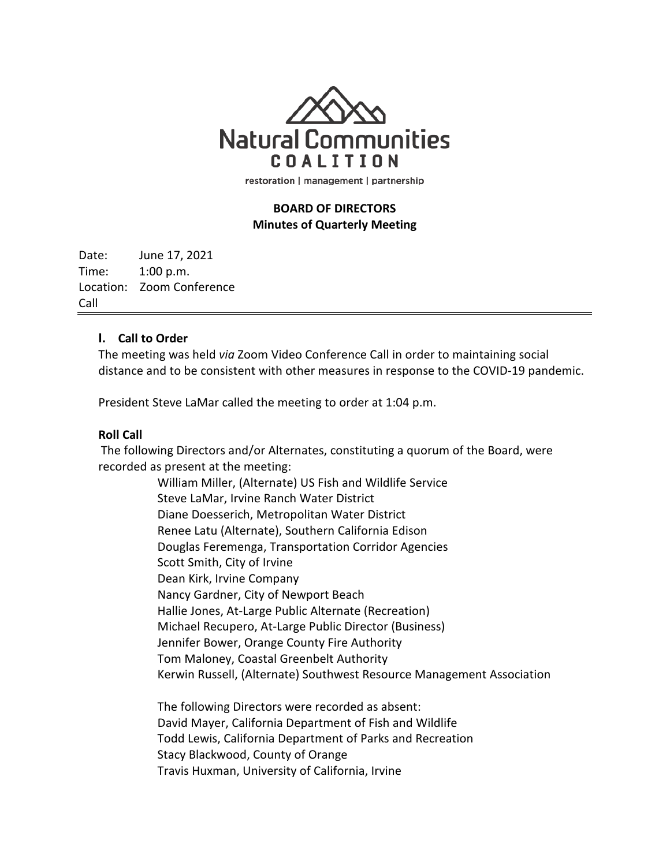

restoration | management | partnership

# **BOARD OF DIRECTORS Minutes of Quarterly Meeting**

Date: June 17, 2021 Time: 1:00 p.m. Location: Zoom Conference Call

## **I. Call to Order**

The meeting was held *via* Zoom Video Conference Call in order to maintaining social distance and to be consistent with other measures in response to the COVID-19 pandemic.

President Steve LaMar called the meeting to order at 1:04 p.m.

## **Roll Call**

The following Directors and/or Alternates, constituting a quorum of the Board, were recorded as present at the meeting:

> William Miller, (Alternate) US Fish and Wildlife Service Steve LaMar, Irvine Ranch Water District Diane Doesserich, Metropolitan Water District Renee Latu (Alternate), Southern California Edison Douglas Feremenga, Transportation Corridor Agencies Scott Smith, City of Irvine Dean Kirk, Irvine Company Nancy Gardner, City of Newport Beach Hallie Jones, At-Large Public Alternate (Recreation) Michael Recupero, At-Large Public Director (Business) Jennifer Bower, Orange County Fire Authority Tom Maloney, Coastal Greenbelt Authority Kerwin Russell, (Alternate) Southwest Resource Management Association

The following Directors were recorded as absent: David Mayer, California Department of Fish and Wildlife Todd Lewis, California Department of Parks and Recreation Stacy Blackwood, County of Orange Travis Huxman, University of California, Irvine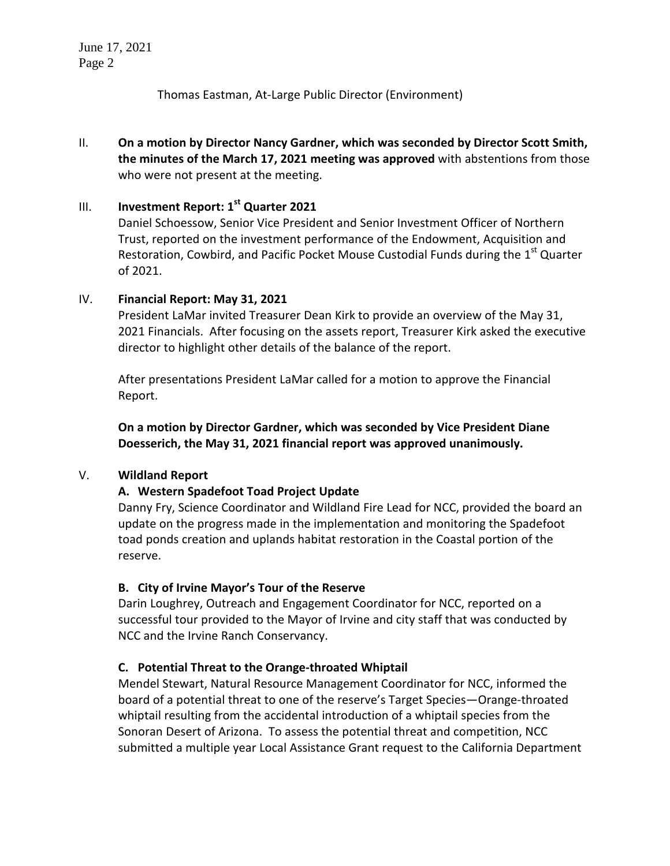June 17, 2021 Page 2

Thomas Eastman, At-Large Public Director (Environment)

II. **On a motion by Director Nancy Gardner, which was seconded by Director Scott Smith, the minutes of the March 17, 2021 meeting was approved** with abstentions from those who were not present at the meeting.

# III. **Investment Report: 1st Quarter 2021**

Daniel Schoessow, Senior Vice President and Senior Investment Officer of Northern Trust, reported on the investment performance of the Endowment, Acquisition and Restoration, Cowbird, and Pacific Pocket Mouse Custodial Funds during the 1<sup>st</sup> Quarter of 2021.

## IV. **Financial Report: May 31, 2021**

President LaMar invited Treasurer Dean Kirk to provide an overview of the May 31, 2021 Financials. After focusing on the assets report, Treasurer Kirk asked the executive director to highlight other details of the balance of the report.

After presentations President LaMar called for a motion to approve the Financial Report.

**On a motion by Director Gardner, which was seconded by Vice President Diane Doesserich, the May 31, 2021 financial report was approved unanimously.**

## V. **Wildland Report**

## **A. Western Spadefoot Toad Project Update**

Danny Fry, Science Coordinator and Wildland Fire Lead for NCC, provided the board an update on the progress made in the implementation and monitoring the Spadefoot toad ponds creation and uplands habitat restoration in the Coastal portion of the reserve.

## **B. City of Irvine Mayor's Tour of the Reserve**

Darin Loughrey, Outreach and Engagement Coordinator for NCC, reported on a successful tour provided to the Mayor of Irvine and city staff that was conducted by NCC and the Irvine Ranch Conservancy.

## **C. Potential Threat to the Orange-throated Whiptail**

Mendel Stewart, Natural Resource Management Coordinator for NCC, informed the board of a potential threat to one of the reserve's Target Species—Orange-throated whiptail resulting from the accidental introduction of a whiptail species from the Sonoran Desert of Arizona. To assess the potential threat and competition, NCC submitted a multiple year Local Assistance Grant request to the California Department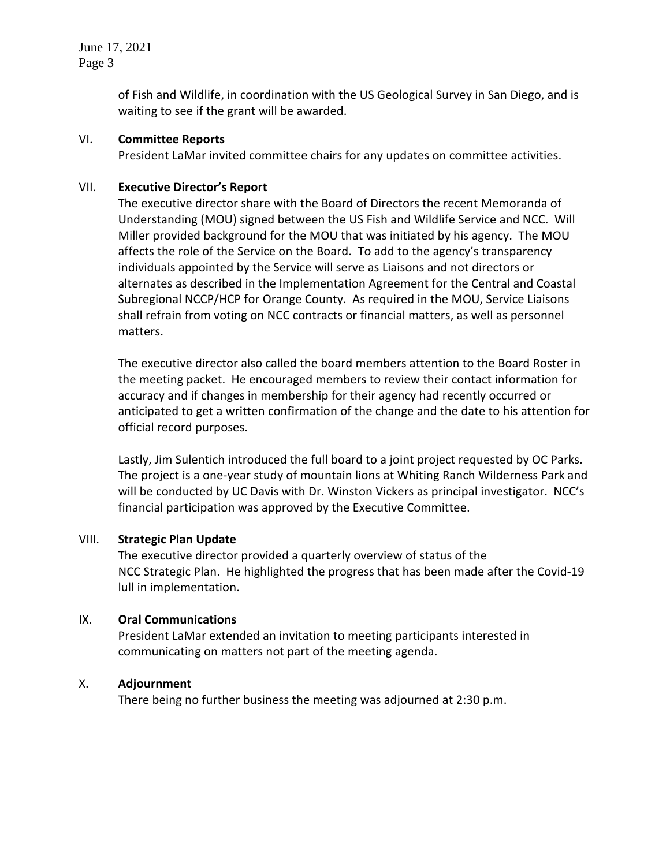June 17, 2021 Page 3

> of Fish and Wildlife, in coordination with the US Geological Survey in San Diego, and is waiting to see if the grant will be awarded.

## VI. **Committee Reports**

President LaMar invited committee chairs for any updates on committee activities.

#### VII. **Executive Director's Report**

The executive director share with the Board of Directors the recent Memoranda of Understanding (MOU) signed between the US Fish and Wildlife Service and NCC. Will Miller provided background for the MOU that was initiated by his agency. The MOU affects the role of the Service on the Board. To add to the agency's transparency individuals appointed by the Service will serve as Liaisons and not directors or alternates as described in the Implementation Agreement for the Central and Coastal Subregional NCCP/HCP for Orange County. As required in the MOU, Service Liaisons shall refrain from voting on NCC contracts or financial matters, as well as personnel matters.

The executive director also called the board members attention to the Board Roster in the meeting packet. He encouraged members to review their contact information for accuracy and if changes in membership for their agency had recently occurred or anticipated to get a written confirmation of the change and the date to his attention for official record purposes.

Lastly, Jim Sulentich introduced the full board to a joint project requested by OC Parks. The project is a one-year study of mountain lions at Whiting Ranch Wilderness Park and will be conducted by UC Davis with Dr. Winston Vickers as principal investigator. NCC's financial participation was approved by the Executive Committee.

#### VIII. **Strategic Plan Update**

The executive director provided a quarterly overview of status of the NCC Strategic Plan. He highlighted the progress that has been made after the Covid-19 lull in implementation.

## IX. **Oral Communications**

President LaMar extended an invitation to meeting participants interested in communicating on matters not part of the meeting agenda.

## X. **Adjournment**

There being no further business the meeting was adjourned at 2:30 p.m.